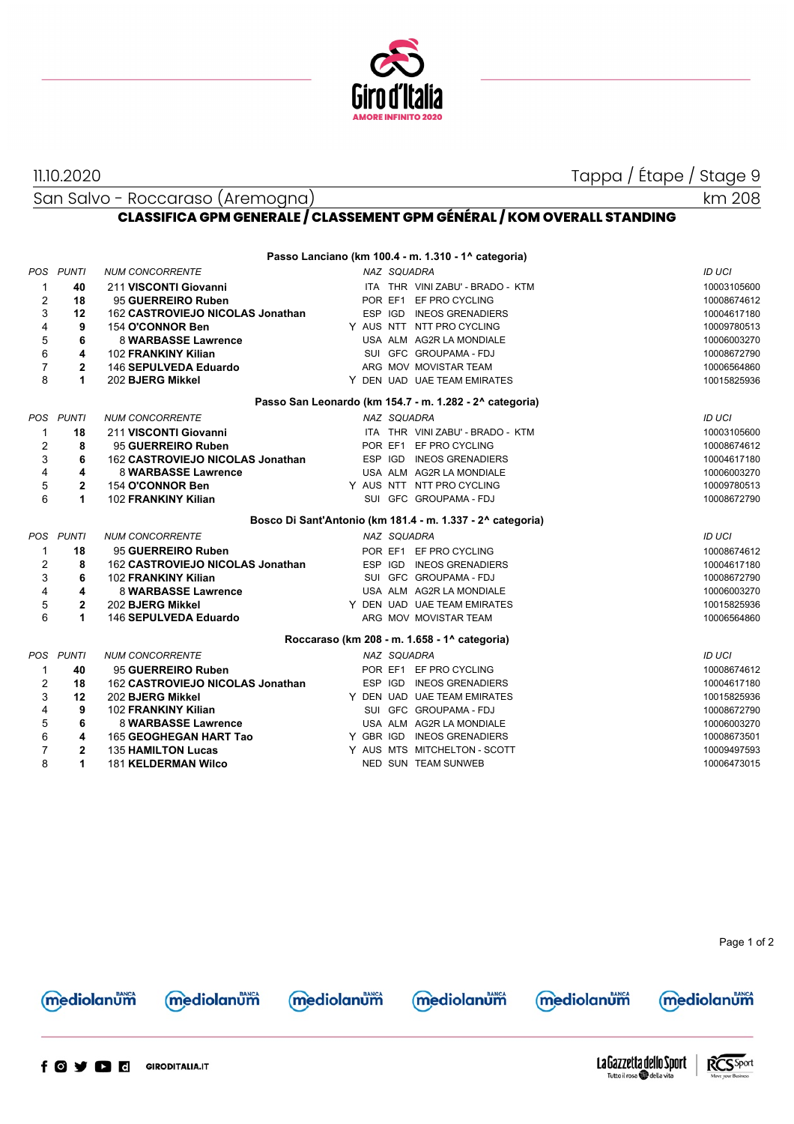

11.10.2020 Tappa / Étape / Stage 9

San Salvo - Roccaraso (Aremogna)



## **CLASSIFICA GPM GENERALE / CLASSEMENT GPM GÉNÉRAL / KOM OVERALL STANDING**

|                |                |                                  |             | Passo Lanciano (km 100.4 - m. 1.310 - 1^ categoria)        |               |
|----------------|----------------|----------------------------------|-------------|------------------------------------------------------------|---------------|
| POS.           | <b>PUNTI</b>   | <b>NUM CONCORRENTE</b>           | NAZ SQUADRA |                                                            | ID UCI        |
| 1              | 40             | 211 VISCONTI Giovanni            |             | ITA THR VINI ZABU' - BRADO - KTM                           | 10003105600   |
| $\overline{2}$ | 18             | 95 GUERREIRO Ruben               |             | POR EF1 EF PRO CYCLING                                     | 10008674612   |
| 3              | 12             | 162 CASTROVIEJO NICOLAS Jonathan |             | ESP IGD INEOS GRENADIERS                                   | 10004617180   |
| $\overline{4}$ | 9              | 154 O'CONNOR Ben                 |             | Y AUS NTT NTT PRO CYCLING                                  | 10009780513   |
| 5              | 6              | 8 WARBASSE Lawrence              |             | USA ALM AG2R LA MONDIALE                                   | 10006003270   |
| $\,6$          | 4              | 102 FRANKINY Kilian              |             | SUI GFC GROUPAMA - FDJ                                     | 10008672790   |
| $\overline{7}$ | $\mathbf{2}$   | 146 SEPULVEDA Eduardo            |             | ARG MOV MOVISTAR TEAM                                      | 10006564860   |
| 8              | 1              | 202 BJERG Mikkel                 |             | Y DEN UAD UAE TEAM EMIRATES                                | 10015825936   |
|                |                |                                  |             | Passo San Leonardo (km 154.7 - m. 1.282 - 2^ categoria)    |               |
| POS            | <b>PUNTI</b>   | <b>NUM CONCORRENTE</b>           | NAZ SQUADRA |                                                            | <b>ID UCI</b> |
| 1              | 18             | 211 VISCONTI Giovanni            |             | ITA THR VINI ZABU' - BRADO - KTM                           | 10003105600   |
| $\overline{2}$ | 8              | 95 GUERREIRO Ruben               |             | POR EF1 EF PRO CYCLING                                     | 10008674612   |
| 3              | 6              | 162 CASTROVIEJO NICOLAS Jonathan |             | ESP IGD INEOS GRENADIERS                                   | 10004617180   |
| $\overline{4}$ | 4              | 8 WARBASSE Lawrence              |             | USA ALM AG2R LA MONDIALE                                   | 10006003270   |
| 5              | $\overline{2}$ | 154 O'CONNOR Ben                 |             | Y AUS NTT NTT PRO CYCLING                                  | 10009780513   |
| 6              | 1              | 102 FRANKINY Kilian              |             | SUI GFC GROUPAMA - FDJ                                     | 10008672790   |
|                |                |                                  |             |                                                            |               |
|                |                |                                  |             | Bosco Di Sant'Antonio (km 181.4 - m. 1.337 - 2^ categoria) |               |
|                | POS PUNTI      | <b>NUM CONCORRENTE</b>           | NAZ SQUADRA |                                                            | <b>ID UCI</b> |
| $\mathbf 1$    | 18             | 95 GUERREIRO Ruben               |             | POR EF1 EF PRO CYCLING                                     | 10008674612   |
| $\overline{2}$ | 8              | 162 CASTROVIEJO NICOLAS Jonathan |             | ESP IGD INEOS GRENADIERS                                   | 10004617180   |
| 3              | 6              | 102 FRANKINY Kilian              |             | SUI GFC GROUPAMA - FDJ                                     | 10008672790   |
| $\overline{4}$ | 4              | 8 WARBASSE Lawrence              |             | USA ALM AG2R LA MONDIALE                                   | 10006003270   |
| 5              | $\mathbf{2}$   | 202 BJERG Mikkel                 |             | Y DEN UAD UAE TEAM EMIRATES                                | 10015825936   |
| 6              | 1              | 146 SEPULVEDA Eduardo            |             | ARG MOV MOVISTAR TEAM                                      | 10006564860   |
|                |                |                                  |             | Roccaraso (km 208 - m. 1.658 - 1^ categoria)               |               |
| <b>POS</b>     | <b>PUNTI</b>   | <b>NUM CONCORRENTE</b>           | NAZ SQUADRA |                                                            | ID UCI        |
| $\mathbf{1}$   | 40             | 95 GUERREIRO Ruben               |             | POR EF1 EF PRO CYCLING                                     | 10008674612   |
| $\overline{2}$ | 18             | 162 CASTROVIEJO NICOLAS Jonathan | ESP IGD     | <b>INEOS GRENADIERS</b>                                    | 10004617180   |
| 3              | 12             | 202 BJERG Mikkel                 |             | Y DEN UAD UAE TEAM EMIRATES                                | 10015825936   |
| $\overline{4}$ | 9              | 102 FRANKINY Kilian              |             | SUI GFC GROUPAMA - FDJ                                     | 10008672790   |
| 5              | 6              | <b>8 WARBASSE Lawrence</b>       |             | USA ALM AG2R LA MONDIALE                                   | 10006003270   |
| 6              | 4              | 165 GEOGHEGAN HART Tao           |             | Y GBR IGD INEOS GRENADIERS                                 | 10008673501   |
| $\overline{7}$ | $\overline{2}$ | <b>135 HAMILTON Lucas</b>        |             | Y AUS MTS MITCHELTON - SCOTT                               | 10009497593   |

Page 1 of 2





mediolanum

**mediolanum** 



**mediolanum** 





LaGazzetta dello Sport Tutto il rosa della vita